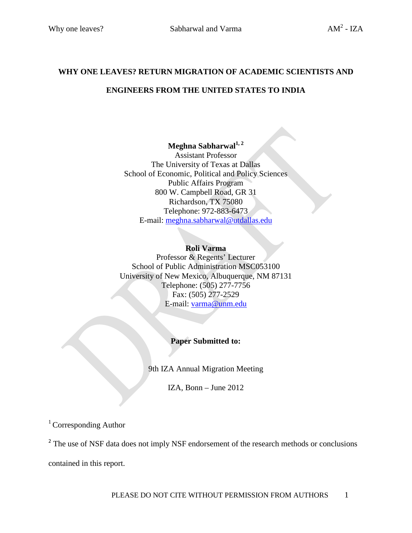## **WHY ONE LEAVES? RETURN MIGRATION OF ACADEMIC SCIENTISTS AND ENGINEERS FROM THE UNITED STATES TO INDIA**

## **Meghna Sabharwal1, 2**

Assistant Professor The University of Texas at Dallas School of Economic, Political and Policy Sciences Public Affairs Program 800 W. Campbell Road, GR 31 Richardson, TX 75080 Telephone: 972-883-6473 E-mail: [meghna.sabharwal@utdallas.edu](mailto:meghna.sabharwal@utdallas.edu)

## **Roli Varma**

Professor & Regents' Lecturer School of Public Administration MSC053100 University of New Mexico, Albuquerque, NM 87131 Telephone: (505) 277-7756 Fax: (505) 277-2529 E-mail: [varma@unm.edu](mailto:varma@unm.edu)

## **Paper Submitted to:**

9th IZA Annual Migration Meeting

IZA, Bonn – June 2012

<sup>1</sup> Corresponding Author

<sup>2</sup> The use of NSF data does not imply NSF endorsement of the research methods or conclusions contained in this report.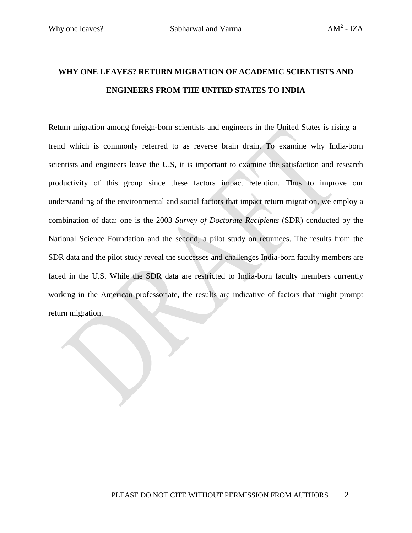## **WHY ONE LEAVES? RETURN MIGRATION OF ACADEMIC SCIENTISTS AND ENGINEERS FROM THE UNITED STATES TO INDIA**

Return migration among foreign-born scientists and engineers in the United States is rising a trend which is commonly referred to as reverse brain drain. To examine why India-born scientists and engineers leave the U.S, it is important to examine the satisfaction and research productivity of this group since these factors impact retention. Thus to improve our understanding of the environmental and social factors that impact return migration, we employ a combination of data; one is the 2003 *Survey of Doctorate Recipients* (SDR) conducted by the National Science Foundation and the second, a pilot study on returnees. The results from the SDR data and the pilot study reveal the successes and challenges India-born faculty members are faced in the U.S. While the SDR data are restricted to India-born faculty members currently working in the American professoriate, the results are indicative of factors that might prompt return migration.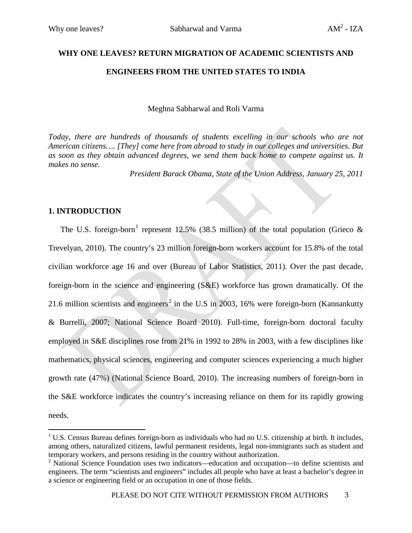# **WHY ONE LEAVES? RETURN MIGRATION OF ACADEMIC SCIENTISTS AND ENGINEERS FROM THE UNITED STATES TO INDIA**

Meghna Sabharwal and Roli Varma

*Today, there are hundreds of thousands of students excelling in our schools who are not American citizens…. [They] come here from abroad to study in our colleges and universities. But as soon as they obtain advanced degrees, we send them back home to compete against us. It makes no sense.*

*President Barack Obama, State of the Union Address, January 25, 2011*

## **1. INTRODUCTION**

The U.S. foreign-born<sup>[1](#page-2-0)</sup> represent 12.5% (38.5 million) of the total population (Grieco  $\&$ Trevelyan, 2010). The country's 23 million foreign-born workers account for 15.8% of the total civilian workforce age 16 and over (Bureau of Labor Statistics, 2011). Over the past decade, foreign-born in the science and engineering (S&E) workforce has grown dramatically. Of the [2](#page-2-1)1.6 million scientists and engineers<sup>2</sup> in the U.S in 2003, 16% were foreign-born (Kannankutty & Burrelli, 2007; National Science Board 2010). Full-time, foreign-born doctoral faculty employed in S&E disciplines rose from 21% in 1992 to 28% in 2003, with a few disciplines like mathematics, physical sciences, engineering and computer sciences experiencing a much higher growth rate (47%) (National Science Board, 2010). The increasing numbers of foreign-born in the S&E workforce indicates the country's increasing reliance on them for its rapidly growing needs.

<span id="page-2-0"></span><sup>&</sup>lt;sup>1</sup> U.S. Census Bureau defines foreign-born as individuals who had no U.S. citizenship at birth. It includes, among others, naturalized citizens, lawful permanent residents, legal non-immigrants such as student and temporary workers, and persons residing in the country without authorization.

<span id="page-2-1"></span><sup>&</sup>lt;sup>2</sup> National Science Foundation uses two indicators—education and occupation—to define scientists and engineers. The term "scientists and engineers" includes all people who have at least a bachelor's degree in a science or engineering field or an occupation in one of those fields.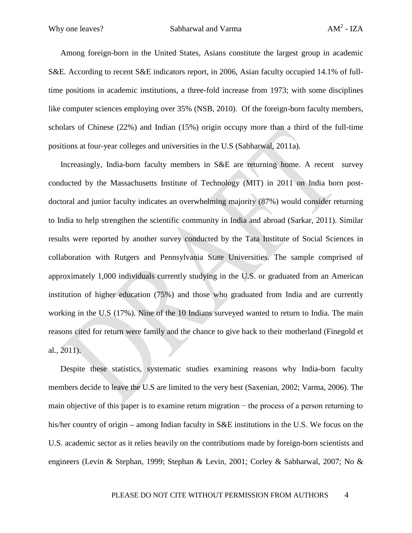Among foreign-born in the United States, Asians constitute the largest group in academic S&E. According to recent S&E indicators report, in 2006, Asian faculty occupied 14.1% of fulltime positions in academic institutions, a three-fold increase from 1973; with some disciplines like computer sciences employing over 35% (NSB, 2010). Of the foreign-born faculty members, scholars of Chinese (22%) and Indian (15%) origin occupy more than a third of the full-time positions at four-year colleges and universities in the U.S (Sabharwal, 2011a).

Increasingly, India-born faculty members in S&E are returning home. A recent survey conducted by the Massachusetts Institute of Technology (MIT) in 2011 on India born postdoctoral and junior faculty indicates an overwhelming majority (87%) would consider returning to India to help strengthen the scientific community in India and abroad (Sarkar, 2011). Similar results were reported by another survey conducted by the Tata Institute of Social Sciences in collaboration with Rutgers and Pennsylvania State Universities. The sample comprised of approximately 1,000 individuals currently studying in the U.S. or graduated from an American institution of higher education (75%) and those who graduated from India and are currently working in the U.S (17%). Nine of the 10 Indians surveyed wanted to return to India. The main reasons cited for return were family and the chance to give back to their motherland (Finegold et al., 2011).

Despite these statistics, systematic studies examining reasons why India-born faculty members decide to leave the U.S are limited to the very best (Saxenian, 2002; Varma, 2006). The main objective of this paper is to examine return migration − the process of a person returning to his/her country of origin – among Indian faculty in S&E institutions in the U.S. We focus on the U.S. academic sector as it relies heavily on the contributions made by foreign-born scientists and engineers (Levin & Stephan, 1999; Stephan & Levin, 2001; Corley & Sabharwal, 2007; No &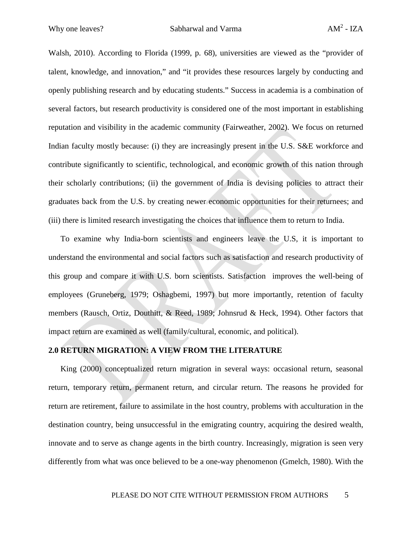Walsh, 2010). According to Florida (1999, p. 68), universities are viewed as the "provider of talent, knowledge, and innovation," and "it provides these resources largely by conducting and openly publishing research and by educating students." Success in academia is a combination of several factors, but research productivity is considered one of the most important in establishing reputation and visibility in the academic community (Fairweather, 2002). We focus on returned Indian faculty mostly because: (i) they are increasingly present in the U.S. S&E workforce and contribute significantly to scientific, technological, and economic growth of this nation through their scholarly contributions; (ii) the government of India is devising policies to attract their graduates back from the U.S. by creating newer economic opportunities for their returnees; and (iii) there is limited research investigating the choices that influence them to return to India.

To examine why India-born scientists and engineers leave the U.S, it is important to understand the environmental and social factors such as satisfaction and research productivity of this group and compare it with U.S. born scientists. Satisfaction improves the well-being of employees (Gruneberg, 1979; Oshagbemi, 1997) but more importantly, retention of faculty members (Rausch, Ortiz, Douthitt, & Reed, 1989; Johnsrud & Heck, 1994). Other factors that impact return are examined as well (family/cultural, economic, and political).

#### **2.0 RETURN MIGRATION: A VIEW FROM THE LITERATURE**

King (2000) conceptualized return migration in several ways: occasional return, seasonal return, temporary return, permanent return, and circular return. The reasons he provided for return are retirement, failure to assimilate in the host country, problems with acculturation in the destination country, being unsuccessful in the emigrating country, acquiring the desired wealth, innovate and to serve as change agents in the birth country. Increasingly, migration is seen very differently from what was once believed to be a one-way phenomenon (Gmelch, 1980). With the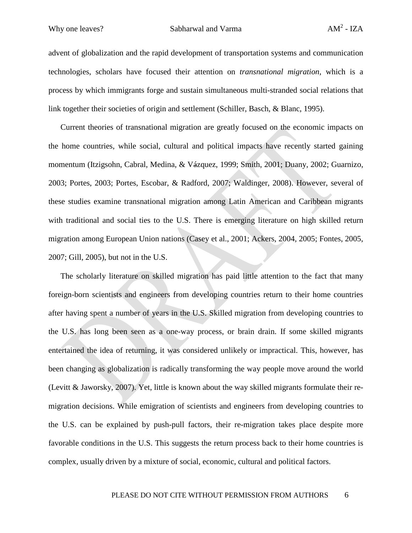advent of globalization and the rapid development of transportation systems and communication technologies, scholars have focused their attention on *transnational migration*, which is a process by which immigrants forge and sustain simultaneous multi-stranded social relations that link together their societies of origin and settlement (Schiller, Basch, & Blanc, 1995).

Current theories of transnational migration are greatly focused on the economic impacts on the home countries, while social, cultural and political impacts have recently started gaining momentum (Itzigsohn, Cabral, Medina, & Vázquez, 1999; Smith, 2001; Duany, 2002; Guarnizo, 2003; Portes, 2003; Portes, Escobar, & Radford, 2007; Waldinger, 2008). However, several of these studies examine transnational migration among Latin American and Caribbean migrants with traditional and social ties to the U.S. There is emerging literature on high skilled return migration among European Union nations (Casey et al., 2001; Ackers, 2004, 2005; Fontes, 2005, 2007; Gill, 2005), but not in the U.S.

The scholarly literature on skilled migration has paid little attention to the fact that many foreign-born scientists and engineers from developing countries return to their home countries after having spent a number of years in the U.S. Skilled migration from developing countries to the U.S. has long been seen as a one-way process, or brain drain. If some skilled migrants entertained the idea of returning, it was considered unlikely or impractical. This, however, has been changing as globalization is radically transforming the way people move around the world (Levitt & Jaworsky, 2007). Yet, little is known about the way skilled migrants formulate their remigration decisions. While emigration of scientists and engineers from developing countries to the U.S. can be explained by push-pull factors, their re-migration takes place despite more favorable conditions in the U.S. This suggests the return process back to their home countries is complex, usually driven by a mixture of social, economic, cultural and political factors.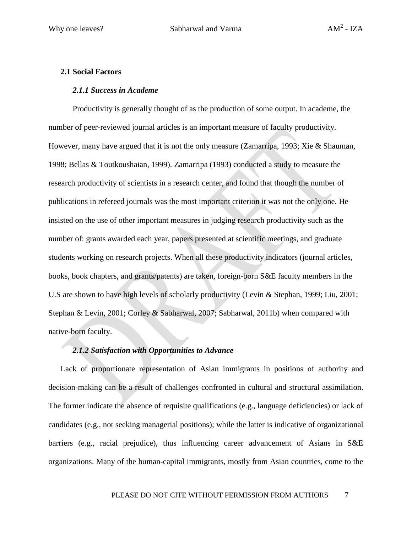#### **2.1 Social Factors**

#### *2.1.1 Success in Academe*

Productivity is generally thought of as the production of some output. In academe, the number of peer-reviewed journal articles is an important measure of faculty productivity. However, many have argued that it is not the only measure (Zamarripa, 1993; Xie & Shauman, 1998; Bellas & Toutkoushaian, 1999). Zamarripa (1993) conducted a study to measure the research productivity of scientists in a research center, and found that though the number of publications in refereed journals was the most important criterion it was not the only one. He insisted on the use of other important measures in judging research productivity such as the number of: grants awarded each year, papers presented at scientific meetings, and graduate students working on research projects. When all these productivity indicators (journal articles, books, book chapters, and grants/patents) are taken, foreign-born S&E faculty members in the U.S are shown to have high levels of scholarly productivity (Levin & Stephan, 1999; Liu, 2001; Stephan & Levin, 2001; Corley & Sabharwal, 2007; Sabharwal, 2011b) when compared with native-born faculty.

#### *2.1.2 Satisfaction with Opportunities to Advance*

Lack of proportionate representation of Asian immigrants in positions of authority and decision-making can be a result of challenges confronted in cultural and structural assimilation. The former indicate the absence of requisite qualifications (e.g., language deficiencies) or lack of candidates (e.g., not seeking managerial positions); while the latter is indicative of organizational barriers (e.g., racial prejudice), thus influencing career advancement of Asians in S&E organizations. Many of the human-capital immigrants, mostly from Asian countries, come to the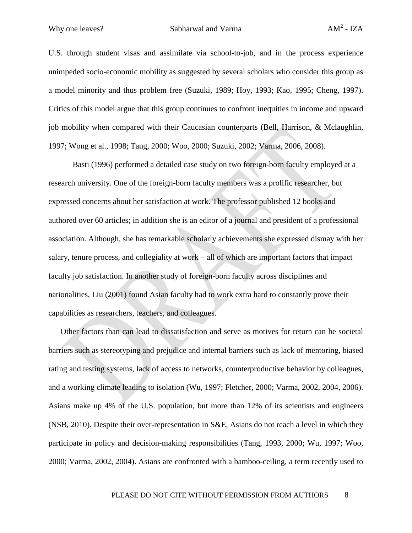U.S. through student visas and assimilate via school-to-job, and in the process experience unimpeded socio-economic mobility as suggested by several scholars who consider this group as a model minority and thus problem free (Suzuki, 1989; Hoy, 1993; Kao, 1995; Cheng, 1997). Critics of this model argue that this group continues to confront inequities in income and upward job mobility when compared with their Caucasian counterparts (Bell, Harrison, & Mclaughlin, 1997; Wong et al., 1998; Tang, 2000; Woo, 2000; Suzuki, 2002; Varma, 2006, 2008).

Basti (1996) performed a detailed case study on two foreign-born faculty employed at a research university. One of the foreign-born faculty members was a prolific researcher, but expressed concerns about her satisfaction at work. The professor published 12 books and authored over 60 articles; in addition she is an editor of a journal and president of a professional association. Although, she has remarkable scholarly achievements she expressed dismay with her salary, tenure process, and collegiality at work – all of which are important factors that impact faculty job satisfaction. In another study of foreign-born faculty across disciplines and nationalities, Liu (2001) found Asian faculty had to work extra hard to constantly prove their capabilities as researchers, teachers, and colleagues.

Other factors than can lead to dissatisfaction and serve as motives for return can be societal barriers such as stereotyping and prejudice and internal barriers such as lack of mentoring, biased rating and testing systems, lack of access to networks, counterproductive behavior by colleagues, and a working climate leading to isolation (Wu, 1997; Fletcher, 2000; Varma, 2002, 2004, 2006). Asians make up 4% of the U.S. population, but more than 12% of its scientists and engineers (NSB, 2010). Despite their over-representation in S&E, Asians do not reach a level in which they participate in policy and decision-making responsibilities (Tang, 1993, 2000; Wu, 1997; Woo, 2000; Varma, 2002, 2004). Asians are confronted with a bamboo-ceiling, a term recently used to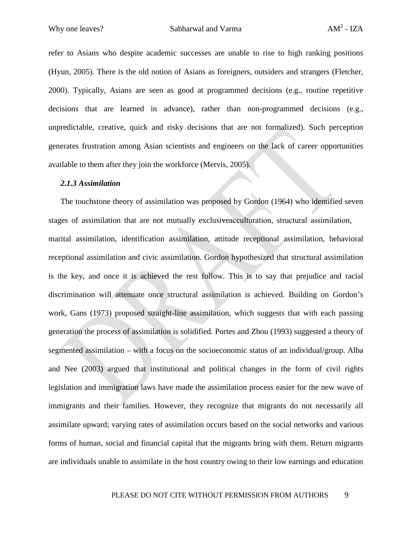refer to Asians who despite academic successes are unable to rise to high ranking positions (Hyun, 2005). There is the old notion of Asians as foreigners, outsiders and strangers (Fletcher, 2000). Typically, Asians are seen as good at programmed decisions (e.g., routine repetitive decisions that are learned in advance), rather than non-programmed decisions (e.g., unpredictable, creative, quick and risky decisions that are not formalized). Such perception generates frustration among Asian scientists and engineers on the lack of career opportunities available to them after they join the workforce (Mervis, 2005).

#### *2.1.3 Assimilation*

The touchstone theory of assimilation was proposed by Gordon (1964) who identified seven stages of assimilation that are not mutually exclusive acculturation, structural assimilation, marital assimilation, identification assimilation, attitude receptional assimilation, behavioral receptional assimilation and civic assimilation. Gordon hypothesized that structural assimilation is the key, and once it is achieved the rest follow. This is to say that prejudice and racial discrimination will attenuate once structural assimilation is achieved. Building on Gordon's work, Gans (1973) proposed straight-line assimilation, which suggests that with each passing generation the process of assimilation is solidified. Portes and Zhou (1993) suggested a theory of segmented assimilation – with a focus on the socioeconomic status of an individual/group. Alba and Nee (2003) argued that institutional and political changes in the form of civil rights legislation and immigration laws have made the assimilation process easier for the new wave of immigrants and their families. However, they recognize that migrants do not necessarily all assimilate upward; varying rates of assimilation occurs based on the social networks and various forms of human, social and financial capital that the migrants bring with them. Return migrants are individuals unable to assimilate in the host country owing to their low earnings and education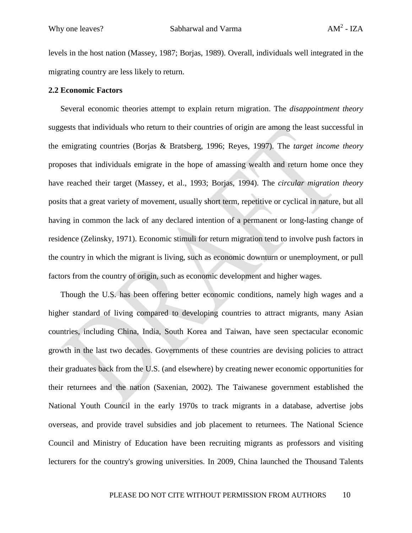levels in the host nation (Massey, 1987; Borjas, 1989). Overall, individuals well integrated in the migrating country are less likely to return.

#### **2.2 Economic Factors**

Several economic theories attempt to explain return migration. The *disappointment theory* suggests that individuals who return to their countries of origin are among the least successful in the emigrating countries (Borjas & Bratsberg, 1996; Reyes, 1997). The *target income theory* proposes that individuals emigrate in the hope of amassing wealth and return home once they have reached their target (Massey, et al., 1993; Borjas, 1994). The *circular migration theory* posits that a great variety of movement, usually short term, repetitive or cyclical in nature, but all having in common the lack of any declared intention of a permanent or long-lasting change of residence (Zelinsky, 1971). Economic stimuli for return migration tend to involve push factors in the country in which the migrant is living, such as economic downturn or unemployment, or pull factors from the country of origin, such as economic development and higher wages.

Though the U.S. has been offering better economic conditions, namely high wages and a higher standard of living compared to developing countries to attract migrants, many Asian countries, including China, India, South Korea and Taiwan, have seen spectacular economic growth in the last two decades. Governments of these countries are devising policies to attract their graduates back from the U.S. (and elsewhere) by creating newer economic opportunities for their returnees and the nation (Saxenian, 2002). The Taiwanese government established the National Youth Council in the early 1970s to track migrants in a database, advertise jobs overseas, and provide travel subsidies and job placement to returnees. The National Science Council and Ministry of Education have been recruiting migrants as professors and visiting lecturers for the country's growing universities. In 2009, China launched the Thousand Talents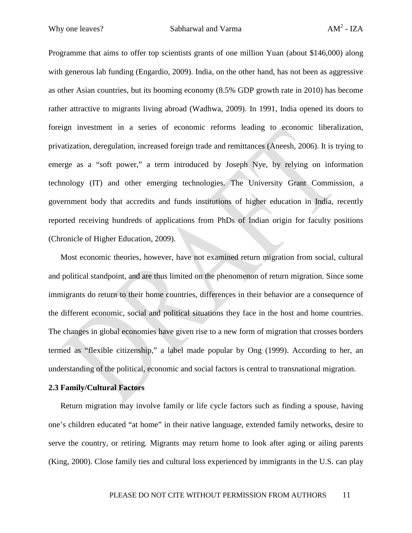Programme that aims to offer top scientists grants of one million Yuan (about \$146,000) along with generous lab funding (Engardio, 2009). India, on the other hand, has not been as aggressive as other Asian countries, but its booming economy (8.5% GDP growth rate in 2010) has become rather attractive to migrants living abroad (Wadhwa, 2009). In 1991, India opened its doors to foreign investment in a series of economic reforms leading to economic liberalization, privatization, deregulation, increased foreign trade and remittances (Aneesh, 2006). It is trying to emerge as a "soft power," a term introduced by Joseph Nye, by relying on information technology (IT) and other emerging technologies. The University Grant Commission, a government body that accredits and funds institutions of higher education in India, recently reported receiving hundreds of applications from PhDs of Indian origin for faculty positions (Chronicle of Higher Education, 2009).

Most economic theories, however, have not examined return migration from social, cultural and political standpoint, and are thus limited on the phenomenon of return migration. Since some immigrants do return to their home countries, differences in their behavior are a consequence of the different economic, social and political situations they face in the host and home countries. The changes in global economies have given rise to a new form of migration that crosses borders termed as "flexible citizenship," a label made popular by Ong (1999). According to her, an understanding of the political, economic and social factors is central to transnational migration.

#### **2.3 Family/Cultural Factors**

Return migration may involve family or life cycle factors such as finding a spouse, having one's children educated "at home" in their native language, extended family networks, desire to serve the country, or retiring. Migrants may return home to look after aging or ailing parents (King, 2000). Close family ties and cultural loss experienced by immigrants in the U.S. can play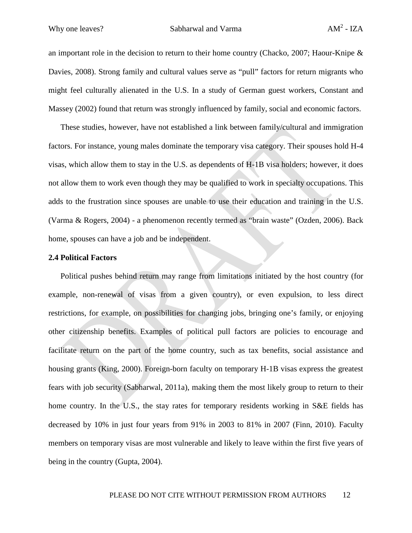an important role in the decision to return to their home country (Chacko, 2007; Haour-Knipe  $\&$ Davies, 2008). Strong family and cultural values serve as "pull" factors for return migrants who might feel culturally alienated in the U.S. In a study of German guest workers, Constant and Massey (2002) found that return was strongly influenced by family, social and economic factors.

These studies, however, have not established a link between family/cultural and immigration factors. For instance, young males dominate the temporary visa category. Their spouses hold H-4 visas, which allow them to stay in the U.S. as dependents of H-1B visa holders; however, it does not allow them to work even though they may be qualified to work in specialty occupations. This adds to the frustration since spouses are unable to use their education and training in the U.S. (Varma & Rogers, 2004) - a phenomenon recently termed as "brain waste" (Ozden, 2006). Back home, spouses can have a job and be independent.

#### **2.4 Political Factors**

Political pushes behind return may range from limitations initiated by the host country (for example, non-renewal of visas from a given country), or even expulsion, to less direct restrictions, for example, on possibilities for changing jobs, bringing one's family, or enjoying other citizenship benefits. Examples of political pull factors are policies to encourage and facilitate return on the part of the home country, such as tax benefits, social assistance and housing grants (King, 2000). Foreign-born faculty on temporary H-1B visas express the greatest fears with job security (Sabharwal, 2011a), making them the most likely group to return to their home country. In the U.S., the stay rates for temporary residents working in S&E fields has decreased by 10% in just four years from 91% in 2003 to 81% in 2007 (Finn, 2010). Faculty members on temporary visas are most vulnerable and likely to leave within the first five years of being in the country (Gupta, 2004).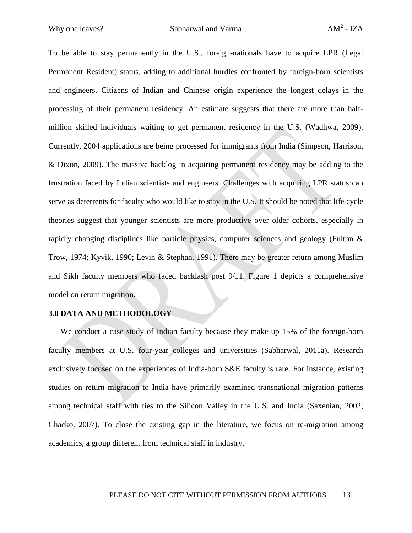To be able to stay permanently in the U.S., foreign-nationals have to acquire LPR (Legal Permanent Resident) status, adding to additional hurdles confronted by foreign-born scientists and engineers. Citizens of Indian and Chinese origin experience the longest delays in the processing of their permanent residency. An estimate suggests that there are more than halfmillion skilled individuals waiting to get permanent residency in the U.S. (Wadhwa, 2009). Currently, 2004 applications are being processed for immigrants from India (Simpson, Harrison, & Dixon, 2009). The massive backlog in acquiring permanent residency may be adding to the frustration faced by Indian scientists and engineers. Challenges with acquiring LPR status can serve as deterrents for faculty who would like to stay in the U.S. It should be noted that life cycle theories suggest that younger scientists are more productive over older cohorts, especially in rapidly changing disciplines like particle physics, computer sciences and geology (Fulton & Trow, 1974; Kyvik, 1990; Levin & Stephan, 1991). There may be greater return among Muslim and Sikh faculty members who faced backlash post 9/11. Figure 1 depicts a comprehensive model on return migration.

#### **3.0 DATA AND METHODOLOGY**

We conduct a case study of Indian faculty because they make up 15% of the foreign-born faculty members at U.S. four-year colleges and universities (Sabharwal, 2011a). Research exclusively focused on the experiences of India-born S&E faculty is rare. For instance, existing studies on return migration to India have primarily examined transnational migration patterns among technical staff with ties to the Silicon Valley in the U.S. and India (Saxenian, 2002; Chacko, 2007). To close the existing gap in the literature, we focus on re-migration among academics, a group different from technical staff in industry.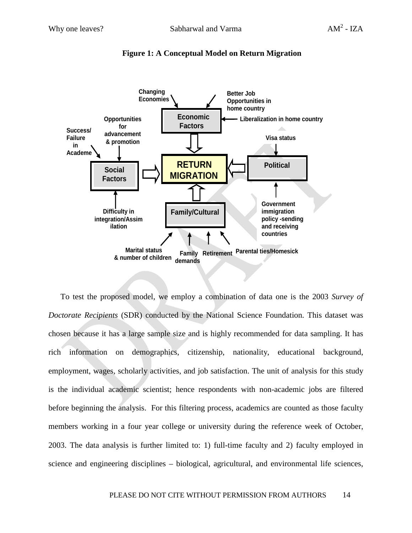

**Figure 1: A Conceptual Model on Return Migration**

To test the proposed model, we employ a combination of data one is the 2003 *Survey of Doctorate Recipients* (SDR) conducted by the National Science Foundation. This dataset was chosen because it has a large sample size and is highly recommended for data sampling. It has rich information on demographics, citizenship, nationality, educational background, employment, wages, scholarly activities, and job satisfaction. The unit of analysis for this study is the individual academic scientist; hence respondents with non-academic jobs are filtered before beginning the analysis. For this filtering process, academics are counted as those faculty members working in a four year college or university during the reference week of October, 2003. The data analysis is further limited to: 1) full-time faculty and 2) faculty employed in science and engineering disciplines – biological, agricultural, and environmental life sciences,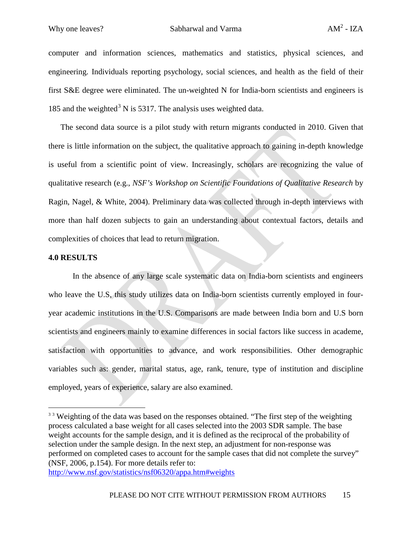computer and information sciences, mathematics and statistics, physical sciences, and engineering. Individuals reporting psychology, social sciences, and health as the field of their first S&E degree were eliminated. The un-weighted N for India-born scientists and engineers is 185 and the weighted<sup>[3](#page-14-0)</sup> N is 5317. The analysis uses weighted data.

The second data source is a pilot study with return migrants conducted in 2010. Given that there is little information on the subject, the qualitative approach to gaining in-depth knowledge is useful from a scientific point of view. Increasingly, scholars are recognizing the value of qualitative research (e.g., *NSF's Workshop on Scientific Foundations of Qualitative Research* by Ragin, Nagel, & White, 2004). Preliminary data was collected through in-depth interviews with more than half dozen subjects to gain an understanding about contextual factors, details and complexities of choices that lead to return migration.

#### **4.0 RESULTS**

In the absence of any large scale systematic data on India-born scientists and engineers who leave the U.S, this study utilizes data on India-born scientists currently employed in fouryear academic institutions in the U.S. Comparisons are made between India born and U.S born scientists and engineers mainly to examine differences in social factors like success in academe, satisfaction with opportunities to advance, and work responsibilities. Other demographic variables such as: gender, marital status, age, rank, tenure, type of institution and discipline employed, years of experience, salary are also examined.

<span id="page-14-0"></span><sup>&</sup>lt;sup>33</sup> Weighting of the data was based on the responses obtained. "The first step of the weighting process calculated a base weight for all cases selected into the 2003 SDR sample. The base weight accounts for the sample design, and it is defined as the reciprocal of the probability of selection under the sample design. In the next step, an adjustment for non-response was performed on completed cases to account for the sample cases that did not complete the survey" (NSF, 2006, p.154). For more details refer to:

<http://www.nsf.gov/statistics/nsf06320/appa.htm#weights>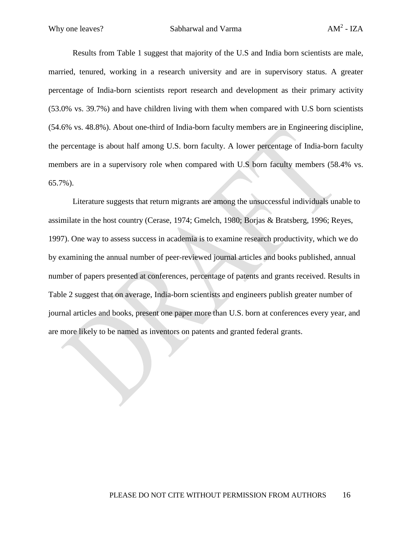Results from Table 1 suggest that majority of the U.S and India born scientists are male, married, tenured, working in a research university and are in supervisory status. A greater percentage of India-born scientists report research and development as their primary activity (53.0% vs. 39.7%) and have children living with them when compared with U.S born scientists (54.6% vs. 48.8%). About one-third of India-born faculty members are in Engineering discipline, the percentage is about half among U.S. born faculty. A lower percentage of India-born faculty members are in a supervisory role when compared with U.S born faculty members (58.4% vs. 65.7%).

Literature suggests that return migrants are among the unsuccessful individuals unable to assimilate in the host country (Cerase, 1974; Gmelch, 1980; Borjas & Bratsberg, 1996; Reyes, 1997). One way to assess success in academia is to examine research productivity, which we do by examining the annual number of peer-reviewed journal articles and books published, annual number of papers presented at conferences, percentage of patents and grants received. Results in Table 2 suggest that on average, India-born scientists and engineers publish greater number of journal articles and books, present one paper more than U.S. born at conferences every year, and are more likely to be named as inventors on patents and granted federal grants.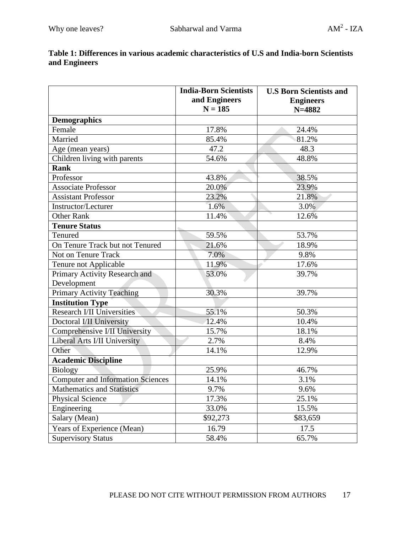|                                          | <b>India-Born Scientists</b><br>and Engineers<br>$N = 185$ | <b>U.S Born Scientists and</b><br><b>Engineers</b><br>$N = 4882$ |
|------------------------------------------|------------------------------------------------------------|------------------------------------------------------------------|
| <b>Demographics</b>                      |                                                            |                                                                  |
| Female                                   | 17.8%                                                      | 24.4%                                                            |
| Married                                  | 85.4%                                                      | 81.2%                                                            |
| Age (mean years)                         | 47.2                                                       | 48.3                                                             |
| Children living with parents             | 54.6%                                                      | 48.8%                                                            |
| <b>Rank</b>                              |                                                            |                                                                  |
| Professor                                | 43.8%                                                      | 38.5%                                                            |
| <b>Associate Professor</b>               | 20.0%                                                      | 23.9%                                                            |
| <b>Assistant Professor</b>               | 23.2%                                                      | 21.8%                                                            |
| Instructor/Lecturer                      | 1.6%                                                       | 3.0%                                                             |
| <b>Other Rank</b>                        | 11.4%                                                      | 12.6%                                                            |
| <b>Tenure Status</b>                     |                                                            |                                                                  |
| Tenured                                  | 59.5%                                                      | 53.7%                                                            |
| On Tenure Track but not Tenured          | 21.6%                                                      | 18.9%                                                            |
| Not on Tenure Track                      | 7.0%                                                       | 9.8%                                                             |
| Tenure not Applicable                    | 11.9%                                                      | 17.6%                                                            |
| Primary Activity Research and            | 53.0%                                                      | 39.7%                                                            |
| Development                              |                                                            |                                                                  |
| <b>Primary Activity Teaching</b>         | 30.3%                                                      | 39.7%                                                            |
| <b>Institution Type</b>                  |                                                            |                                                                  |
| Research I/II Universities               | 55.1%                                                      | 50.3%                                                            |
| Doctoral I/II University                 | 12.4%                                                      | 10.4%                                                            |
| Comprehensive I/II University            | 15.7%                                                      | 18.1%                                                            |
| Liberal Arts I/II University             | 2.7%                                                       | 8.4%                                                             |
| Other                                    | 14.1%                                                      | 12.9%                                                            |
| <b>Academic Discipline</b>               |                                                            |                                                                  |
| <b>Biology</b>                           | 25.9%                                                      | 46.7%                                                            |
| <b>Computer and Information Sciences</b> | 14.1%                                                      | 3.1%                                                             |
| <b>Mathematics and Statistics</b>        | 9.7%                                                       | 9.6%                                                             |
| <b>Physical Science</b>                  | 17.3%                                                      | 25.1%                                                            |
| Engineering                              | 33.0%                                                      | 15.5%                                                            |
| Salary (Mean)                            | \$92,273                                                   | \$83,659                                                         |
| Years of Experience (Mean)               | 16.79                                                      | 17.5                                                             |
| <b>Supervisory Status</b>                | 58.4%                                                      | 65.7%                                                            |

## **Table 1: Differences in various academic characteristics of U.S and India-born Scientists and Engineers**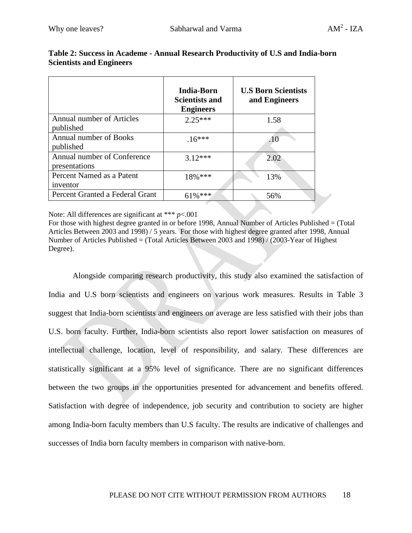|                                              | India-Born<br><b>Scientists and</b><br><b>Engineers</b> | <b>U.S Born Scientists</b><br>and Engineers |
|----------------------------------------------|---------------------------------------------------------|---------------------------------------------|
| Annual number of Articles<br>published       | $2.25***$                                               | 1.58                                        |
| Annual number of Books<br>published          | $.16***$                                                | .10                                         |
| Annual number of Conference<br>presentations | $3.12***$                                               | 2.02                                        |
| Percent Named as a Patent<br>inventor        | $18\%$ ***                                              | 13%                                         |
| Percent Granted a Federal Grant              | $61\%***$                                               | 56%                                         |

### **Table 2: Success in Academe - Annual Research Productivity of U.S and India-born Scientists and Engineers**

Note: All differences are significant at \*\*\* *p*<.001

For those with highest degree granted in or before 1998, Annual Number of Articles Published = (Total Articles Between 2003 and 1998) / 5 years. For those with highest degree granted after 1998, Annual Number of Articles Published = (Total Articles Between 2003 and 1998) / (2003-Year of Highest Degree).

Alongside comparing research productivity, this study also examined the satisfaction of India and U.S born scientists and engineers on various work measures. Results in Table 3 suggest that India-born scientists and engineers on average are less satisfied with their jobs than U.S. born faculty. Further, India-born scientists also report lower satisfaction on measures of intellectual challenge, location, level of responsibility, and salary. These differences are statistically significant at a 95% level of significance. There are no significant differences between the two groups in the opportunities presented for advancement and benefits offered. Satisfaction with degree of independence, job security and contribution to society are higher among India-born faculty members than U.S faculty. The results are indicative of challenges and successes of India born faculty members in comparison with native-born.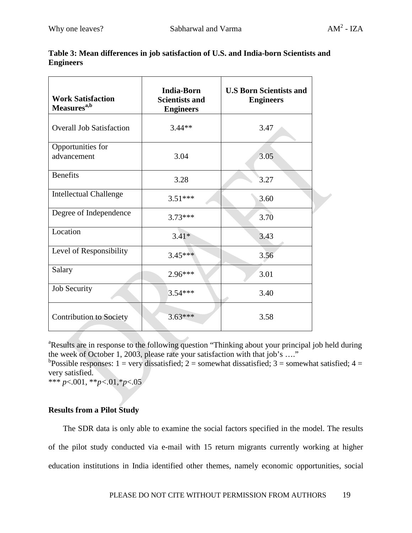| <b>Work Satisfaction</b><br>Measures <sup>a,b</sup> | <b>India-Born</b><br><b>Scientists and</b><br><b>Engineers</b> | <b>U.S Born Scientists and</b><br><b>Engineers</b> |
|-----------------------------------------------------|----------------------------------------------------------------|----------------------------------------------------|
| <b>Overall Job Satisfaction</b>                     | $3.44**$                                                       | 3.47                                               |
| Opportunities for<br>advancement                    | 3.04                                                           | 3.05                                               |
| <b>Benefits</b>                                     | 3.28                                                           | 3.27                                               |
| <b>Intellectual Challenge</b>                       | $3.51***$                                                      | 3.60                                               |
| Degree of Independence                              | $3.73***$                                                      | 3.70                                               |
| Location                                            | $3.41*$                                                        | 3.43                                               |
| Level of Responsibility                             | $3.45***$                                                      | 3.56                                               |
| Salary                                              | 2.96***                                                        | 3.01                                               |
| <b>Job Security</b>                                 | $3.54***$                                                      | 3.40                                               |
| <b>Contribution to Society</b>                      | $3.63***$                                                      | 3.58                                               |

## **Table 3: Mean differences in job satisfaction of U.S. and India-born Scientists and Engineers**

<sup>a</sup>Results are in response to the following question "Thinking about your principal job held during the week of October 1, 2003, please rate your satisfaction with that job's …."

<sup>b</sup>Possible responses: 1 = very dissatisfied; 2 = somewhat dissatisfied; 3 = somewhat satisfied; 4 = very satisfied.

\*\*\* *p*<.001, \*\**p*<.01, \**p*<.05

## **Results from a Pilot Study**

The SDR data is only able to examine the social factors specified in the model. The results of the pilot study conducted via e-mail with 15 return migrants currently working at higher education institutions in India identified other themes, namely economic opportunities, social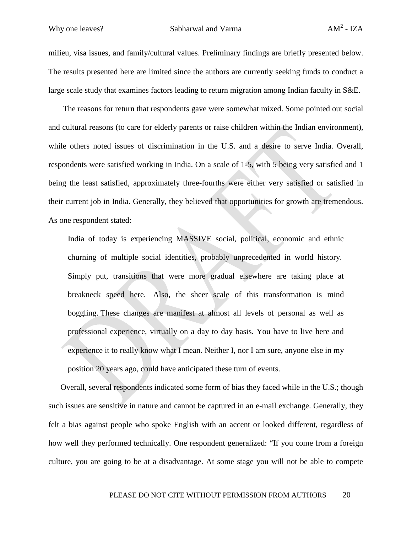milieu, visa issues, and family/cultural values. Preliminary findings are briefly presented below. The results presented here are limited since the authors are currently seeking funds to conduct a large scale study that examines factors leading to return migration among Indian faculty in S&E.

The reasons for return that respondents gave were somewhat mixed. Some pointed out social and cultural reasons (to care for elderly parents or raise children within the Indian environment), while others noted issues of discrimination in the U.S. and a desire to serve India. Overall, respondents were satisfied working in India. On a scale of 1-5, with 5 being very satisfied and 1 being the least satisfied, approximately three-fourths were either very satisfied or satisfied in their current job in India. Generally, they believed that opportunities for growth are tremendous. As one respondent stated:

India of today is experiencing MASSIVE social, political, economic and ethnic churning of multiple social identities, probably unprecedented in world history. Simply put, transitions that were more gradual elsewhere are taking place at breakneck speed here. Also, the sheer scale of this transformation is mind boggling. These changes are manifest at almost all levels of personal as well as professional experience, virtually on a day to day basis. You have to live here and experience it to really know what I mean. Neither I, nor I am sure, anyone else in my position 20 years ago, could have anticipated these turn of events.

Overall, several respondents indicated some form of bias they faced while in the U.S.; though such issues are sensitive in nature and cannot be captured in an e-mail exchange. Generally, they felt a bias against people who spoke English with an accent or looked different, regardless of how well they performed technically. One respondent generalized: "If you come from a foreign culture, you are going to be at a disadvantage. At some stage you will not be able to compete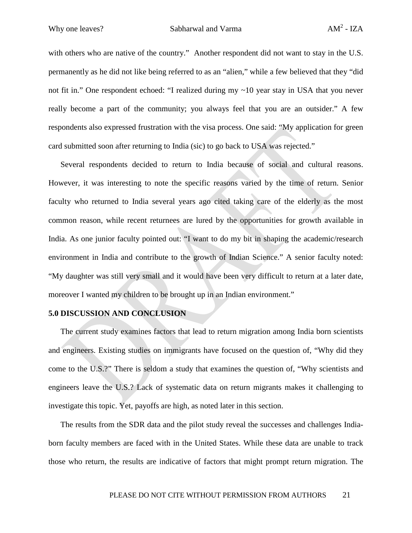with others who are native of the country." Another respondent did not want to stay in the U.S. permanently as he did not like being referred to as an "alien," while a few believed that they "did not fit in." One respondent echoed: "I realized during my ~10 year stay in USA that you never really become a part of the community; you always feel that you are an outsider." A few respondents also expressed frustration with the visa process. One said: "My application for green card submitted soon after returning to India (sic) to go back to USA was rejected."

Several respondents decided to return to India because of social and cultural reasons. However, it was interesting to note the specific reasons varied by the time of return. Senior faculty who returned to India several years ago cited taking care of the elderly as the most common reason, while recent returnees are lured by the opportunities for growth available in India. As one junior faculty pointed out: "I want to do my bit in shaping the academic/research environment in India and contribute to the growth of Indian Science." A senior faculty noted: "My daughter was still very small and it would have been very difficult to return at a later date, moreover I wanted my children to be brought up in an Indian environment."

#### **5.0 DISCUSSION AND CONCLUSION**

The current study examines factors that lead to return migration among India born scientists and engineers. Existing studies on immigrants have focused on the question of, "Why did they come to the U.S.?" There is seldom a study that examines the question of, "Why scientists and engineers leave the U.S.? Lack of systematic data on return migrants makes it challenging to investigate this topic. Yet, payoffs are high, as noted later in this section.

The results from the SDR data and the pilot study reveal the successes and challenges Indiaborn faculty members are faced with in the United States. While these data are unable to track those who return, the results are indicative of factors that might prompt return migration. The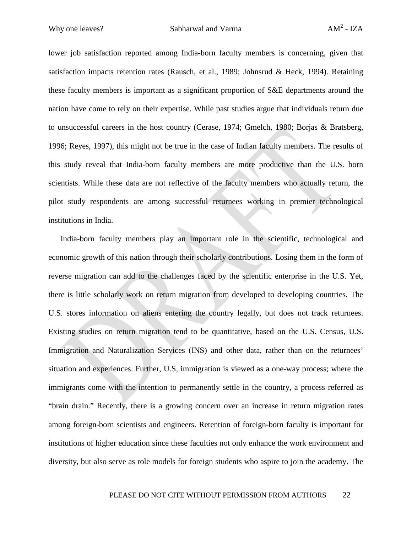lower job satisfaction reported among India-born faculty members is concerning, given that satisfaction impacts retention rates (Rausch, et al., 1989; Johnsrud & Heck, 1994). Retaining these faculty members is important as a significant proportion of S&E departments around the nation have come to rely on their expertise. While past studies argue that individuals return due to unsuccessful careers in the host country (Cerase, 1974; Gmelch, 1980; Borjas & Bratsberg, 1996; Reyes, 1997), this might not be true in the case of Indian faculty members. The results of this study reveal that India-born faculty members are more productive than the U.S. born scientists. While these data are not reflective of the faculty members who actually return, the pilot study respondents are among successful returnees working in premier technological institutions in India.

India-born faculty members play an important role in the scientific, technological and economic growth of this nation through their scholarly contributions. Losing them in the form of reverse migration can add to the challenges faced by the scientific enterprise in the U.S. Yet, there is little scholarly work on return migration from developed to developing countries. The U.S. stores information on aliens entering the country legally, but does not track returnees. Existing studies on return migration tend to be quantitative, based on the U.S. Census, U.S. Immigration and Naturalization Services (INS) and other data, rather than on the returnees' situation and experiences. Further, U.S, immigration is viewed as a one-way process; where the immigrants come with the intention to permanently settle in the country, a process referred as "brain drain." Recently, there is a growing concern over an increase in return migration rates among foreign-born scientists and engineers. Retention of foreign-born faculty is important for institutions of higher education since these faculties not only enhance the work environment and diversity, but also serve as role models for foreign students who aspire to join the academy. The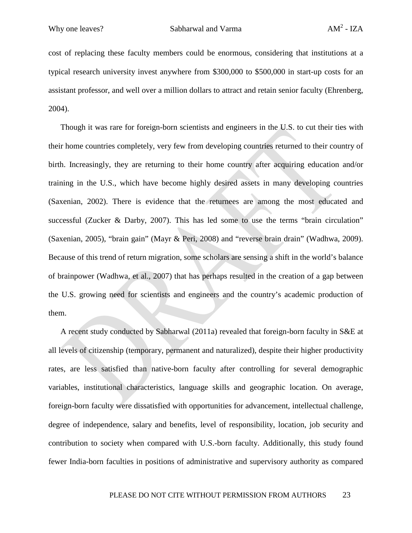cost of replacing these faculty members could be enormous, considering that institutions at a typical research university invest anywhere from \$300,000 to \$500,000 in start-up costs for an assistant professor, and well over a million dollars to attract and retain senior faculty (Ehrenberg, 2004).

Though it was rare for foreign-born scientists and engineers in the U.S. to cut their ties with their home countries completely, very few from developing countries returned to their country of birth. Increasingly, they are returning to their home country after acquiring education and/or training in the U.S., which have become highly desired assets in many developing countries (Saxenian, 2002). There is evidence that the returnees are among the most educated and successful (Zucker & Darby, 2007). This has led some to use the terms "brain circulation" (Saxenian, 2005), "brain gain" (Mayr & Peri, 2008) and "reverse brain drain" (Wadhwa, 2009). Because of this trend of return migration, some scholars are sensing a shift in the world's balance of brainpower (Wadhwa, et al., 2007) that has perhaps resulted in the creation of a gap between the U.S. growing need for scientists and engineers and the country's academic production of them.

A recent study conducted by Sabharwal (2011a) revealed that foreign-born faculty in S&E at all levels of citizenship (temporary, permanent and naturalized), despite their higher productivity rates, are less satisfied than native-born faculty after controlling for several demographic variables, institutional characteristics, language skills and geographic location. On average, foreign-born faculty were dissatisfied with opportunities for advancement, intellectual challenge, degree of independence, salary and benefits, level of responsibility, location, job security and contribution to society when compared with U.S.-born faculty. Additionally, this study found fewer India-born faculties in positions of administrative and supervisory authority as compared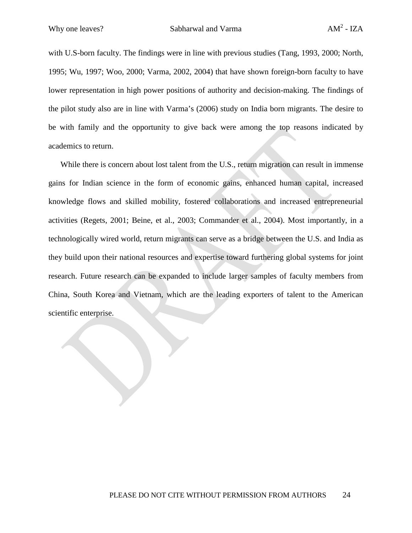with U.S-born faculty. The findings were in line with previous studies (Tang, 1993, 2000; North, 1995; Wu, 1997; Woo, 2000; Varma, 2002, 2004) that have shown foreign-born faculty to have lower representation in high power positions of authority and decision-making. The findings of the pilot study also are in line with Varma's (2006) study on India born migrants. The desire to be with family and the opportunity to give back were among the top reasons indicated by academics to return.

While there is concern about lost talent from the U.S., return migration can result in immense gains for Indian science in the form of economic gains, enhanced human capital, increased knowledge flows and skilled mobility, fostered collaborations and increased entrepreneurial activities (Regets, 2001; Beine, et al., 2003; Commander et al., 2004). Most importantly, in a technologically wired world, return migrants can serve as a bridge between the U.S. and India as they build upon their national resources and expertise toward furthering global systems for joint research. Future research can be expanded to include larger samples of faculty members from China, South Korea and Vietnam, which are the leading exporters of talent to the American scientific enterprise.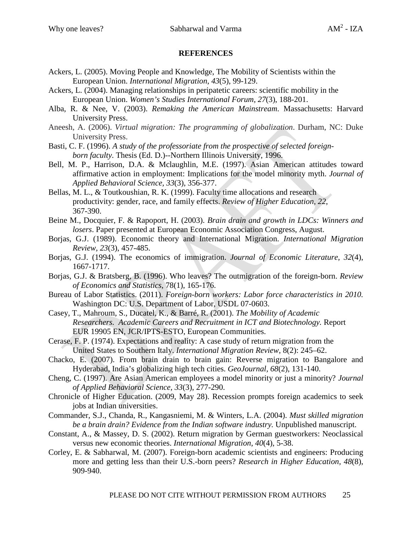#### **REFERENCES**

- Ackers, L. (2005). Moving People and Knowledge, The Mobility of Scientists within the European Union. *International Migration*, *43*(5), 99-129.
- Ackers, L. (2004). Managing relationships in peripatetic careers: scientific mobility in the European Union. *Women's Studies International Forum*, *27*(3), 188-201.
- Alba, R. & Nee, V. (2003). *Remaking the American Mainstream*. Massachusetts: Harvard University Press.
- Aneesh, A. (2006). *Virtual migration: The programming of globalization*. Durham, NC: Duke University Press.
- Basti, C. F. (1996). *A study of the professoriate from the prospective of selected foreignborn faculty*. Thesis (Ed. D.)--Northern Illinois University, 1996.
- Bell, M. P., Harrison, D.A. & Mclaughlin, M.E. (1997). Asian American attitudes toward affirmative action in employment: Implications for the model minority myth. *Journal of Applied Behavioral Science, 33*(3), 356-377.
- Bellas, M. L., & Toutkoushian, R. K. (1999). Faculty time allocations and research productivity: gender, race, and family effects. *Review of Higher Education, 22*, 367-390.
- Beine M., Docquier, F. & Rapoport, H. (2003). *Brain drain and growth in LDCs: Winners and losers*. Paper presented at European Economic Association Congress, August.
- Borjas, G.J. (1989). Economic theory and International Migration. *International Migration Review, 23*(3), 457-485.
- Borjas, G.J. (1994). The economics of immigration. *Journal of Economic Literature, 32*(4), 1667-1717.
- Borjas, G.J. & Bratsberg, B. (1996). Who leaves? The outmigration of the foreign-born. *Review of Economics and Statistics*, 78(1), 165-176.
- Bureau of Labor Statistics. (2011). *Foreign-born workers: Labor force characteristics in 2010.*  Washington DC: U.S. Department of Labor, USDL 07-0603.
- Casey, T., Mahroum, S., Ducatel, K., & Barré, R. (2001). *The Mobility of Academic Researchers. Academic Careers and Recruitment in ICT and Biotechnology.* Report EUR 19905 EN, JCR/IPTS-ESTO, European Communities.
- Cerase, F. P. (1974). Expectations and reality: A case study of return migration from the United States to Southern Italy. *International Migration Review*, 8(2): 245–62.
- Chacko, E. (2007). From brain drain to brain gain: Reverse migration to Bangalore and Hyderabad, India's globalizing high tech cities. *GeoJournal, 68*(2), 131-140.
- Cheng, C. (1997). Are Asian American employees a model minority or just a minority? *Journal of Applied Behavioral Science, 33*(3), 277-290.
- Chronicle of Higher Education. (2009, May 28). Recession prompts foreign academics to seek jobs at Indian universities.
- Commander, S.J., Chanda, R., Kangasniemi, M. & Winters, L.A. (2004). *Must skilled migration be a brain drain? Evidence from the Indian software industry.* Unpublished manuscript.
- Constant, A., & Massey, D. S. (2002). Return migration by German guestworkers: Neoclassical versus new economic theories. *International Migration*, *40*(4), 5-38.
- Corley, E. & Sabharwal, M. (2007). Foreign-born academic scientists and engineers: Producing more and getting less than their U.S.-born peers? *Research in Higher Education, 48*(8), 909-940.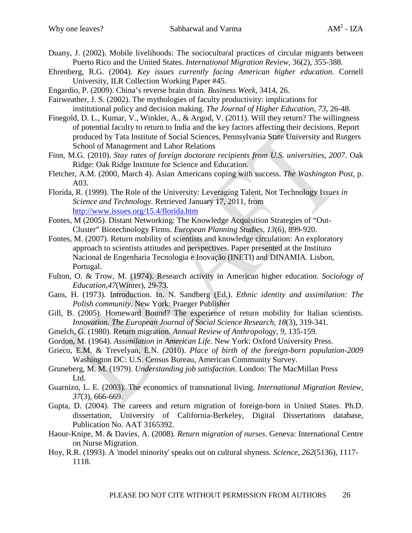- Duany, J. (2002). Mobile livelihoods: The sociocultural practices of circular migrants between Puerto Rico and the United States. *International Migration Review*, 36(2), 355-388.
- Ehrenberg, R.G. (2004). *Key issues currently facing American higher education*. Cornell University, ILR Collection Working Paper #45.
- Engardio, P. (2009). China's reverse brain drain. *Business Week,* 3414, 26.
- Fairweather, J. S. (2002). The mythologies of faculty productivity: implications for
- institutional policy and decision making. *The Journal of Higher Education, 73*, 26-48.
- Finegold, D. L., Kumar, V., Winkler, A., & Argod, V. (2011). Will they return? The willingness of potential faculty to return to India and the key factors affecting their decisions. Report produced by Tata Institute of Social Sciences, Pennsylvania State University and Rutgers School of Management and Labor Relations
- Finn, M.G. (2010). *Stay rates of foreign doctorate recipients from U.S. universities*, *2007*. Oak Ridge: Oak Ridge Institute for Science and Education.
- Fletcher, A.M. (2000, March 4). Asian Americans coping with success. *The Washington Post*, p. A03.
- Florida, R. (1999). The Role of the University: Leveraging Talent, Not Technology I*ssues in Science and Technology*. Retrieved January 17, 2011, from <http://www.issues.org/15.4/florida.htm>
- Fontes, M (2005). Distant Networking: The Knowledge Acquisition Strategies of "Out-Cluster" Biotechnology Firms. *European Planning Studies*, *13*(6), 899-920.
- Fontes, M. (2007). Return mobility of scientists and knowledge circulation: An exploratory approach to scientists attitudes and perspectives. Paper presented at the Instituto Nacional de Engenharia Tecnologia e Inovação (INETI) and DINAMIA. Lisbon, Portugal.
- Fulton, O. & Trow, M. (1974). Research activity in American higher education. *Sociology of Education,47*(Winter), 29-73.
- Gans, H. (1973). Introduction. In. N. Sandberg (Ed.). *Ethnic identity and assimilation: The Polish community*. New York: Praeger Publisher
- Gill, B. (2005). Homeward Bound? The experience of return mobility for Italian scientists. *Innovation. The European Journal of Social Science Research*, *18*(3), 319-341.
- Gmelch, G. (1980). Return migration. *Annual Review of Anthropology, 9*, 135-159.
- Gordon, M. (1964). *Assimilation in American Life.* New York: Oxford University Press.
- Grieco, E.M. & Trevelyan, E.N. (2010). *Place of birth of the foreign-born population-2009*  Washington DC: U.S. Census Bureau, American Community Survey.
- Gruneberg, M. M. (1979). *Understanding job satisfaction*. London: The MacMillan Press Ltd.
- Guarnizo, L. E. (2003). The economics of transnational living. *International Migration Review, 37*(3), 666-669.
- Gupta, D. (2004). The careers and return migration of foreign-born in United States. Ph.D. dissertation, University of California-Berkeley, Digital Dissertations database, Publication No. AAT 3165392.
- Haour-Knipe, M. & Davies, A. (2008). *Return migration of nurses*. Geneva: International Centre on Nurse Migration.
- Hoy, R.R. (1993). A 'model minority' speaks out on cultural shyness. *Science, 262*(5136), 1117- 1118.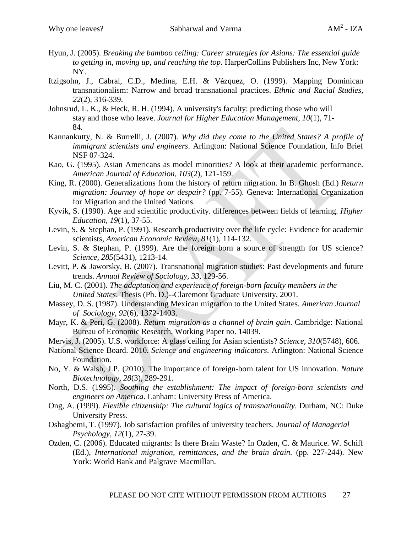- Hyun, J. (2005). *Breaking the bamboo ceiling: Career strategies for Asians: The essential guide to getting in, moving up, and reaching the top*. HarperCollins Publishers Inc, New York: NY.
- Itzigsohn, J., Cabral, C.D., Medina, E.H. & Vázquez, O. (1999). Mapping Dominican transnationalism: Narrow and broad transnational practices. *Ethnic and Racial Studies, 22*(2), 316-339.
- Johnsrud, L. K., & Heck, R. H. (1994). A university's faculty: predicting those who will stay and those who leave. *Journal for Higher Education Management, 10*(1), 71- 84.
- Kannankutty, N. & Burrelli, J. (2007). *Why did they come to the United States? A profile of immigrant scientists and engineers*. Arlington: National Science Foundation, Info Brief NSF 07-324.
- Kao, G. (1995). Asian Americans as model minorities? A look at their academic performance. *American Journal of Education, 103*(2), 121-159.
- King, R. (2000). Generalizations from the history of return migration. In B. Ghosh (Ed.) *Return migration: Journey of hope or despair?* (pp. 7-55). Geneva: International Organization for Migration and the United Nations.
- Kyvik, S. (1990). Age and scientific productivity. differences between fields of learning. *Higher Education, 19*(1), 37-55.
- Levin, S. & Stephan, P. (1991). Research productivity over the life cycle: Evidence for academic scientists, *American Economic Review, 81*(1), 114-132.
- Levin, S. & Stephan, P. (1999). Are the foreign born a source of strength for US science? *Science, 285*(5431), 1213-14.
- Levitt, P. & Jaworsky, B. (2007). Transnational migration studies: Past developments and future trends. *Annual Review of Sociology, 33*, 129-56.
- Liu, M. C. (2001). *The adaptation and experience of foreign-born faculty members in the United States*. Thesis (Ph. D.)--Claremont Graduate University, 2001.
- Massey, D. S. (1987). Understanding Mexican migration to the United States. *American Journal of Sociology, 92*(6), 1372-1403.
- Mayr, K. & Peri, G. (2008). *Return migration as a channel of brain gain*. Cambridge: National Bureau of Economic Research, Working Paper no. 14039.
- Mervis, J. (2005). U.S. workforce: A glass ceiling for Asian scientists? *Science, 310*(5748), 606.
- National Science Board. 2010. *Science and engineering indicators*. Arlington: National Science Foundation.
- No, Y. & Walsh, J.P. (2010). The importance of foreign-born talent for US innovation. *Nature Biotechnology, 28*(3), 289-291.
- North, D.S. (1995). *Soothing the establishment: The impact of foreign-born scientists and engineers on America*. Lanham: University Press of America.
- Ong, A. (1999). *Flexible citizenship: The cultural logics of transnationality*. Durham, NC: Duke University Press.
- Oshagbemi, T. (1997). Job satisfaction profiles of university teachers. *Journal of Managerial Psychology, 12*(1), 27-39.
- Ozden, C. (2006). Educated migrants: Is there Brain Waste? In Ozden, C. & Maurice. W. Schiff (Ed.), *International migration, remittances, and the brain drain.* (pp. 227-244). New York: World Bank and Palgrave Macmillan.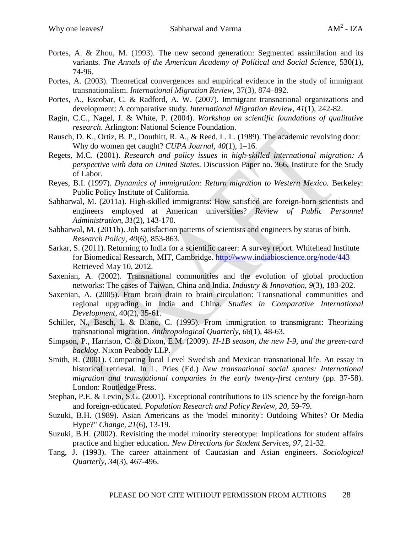- Portes, A. & Zhou, M. (1993). The new second generation: Segmented assimilation and its variants. *The Annals of the American Academy of Political and Social Science*, 530(1), 74-96.
- Portes, A. (2003). Theoretical convergences and empirical evidence in the study of immigrant transnationalism. *International Migration Review,* 37(3), 874–892.
- Portes, A., Escobar, C. & Radford, A. W. (2007). Immigrant transnational organizations and development: A comparative study. *International Migration Review, 41*(1), 242-82.
- Ragin, C.C., Nagel, J. & White, P. (2004). *Workshop on scientific foundations of qualitative research*. Arlington: National Science Foundation.
- Rausch, D. K., Ortiz, B. P., Douthitt, R. A., & Reed, L. L. (1989). The academic revolving door: Why do women get caught? *CUPA Journal, 40*(1), 1–16.
- Regets, M.C. (2001). *Research and policy issues in high-skilled international migration: A perspective with data on United States*. Discussion Paper no. 366, Institute for the Study of Labor.
- Reyes, B.I. (1997). *Dynamics of immigration: Return migration to Western Mexico.* Berkeley: Public Policy Institute of California.
- Sabharwal, M. (2011a). High-skilled immigrants: How satisfied are foreign-born scientists and engineers employed at American universities? *Review of Public Personnel Administration*, *31*(2), 143-170.
- Sabharwal, M. (2011b). Job satisfaction patterns of scientists and engineers by status of birth. *Research Policy, 40*(6), 853-863.
- Sarkar, S. (2011). Returning to India for a scientific career: A survey report. Whitehead Institute for Biomedical Research, MIT, Cambridge.<http://www.indiabioscience.org/node/443> Retrieved May 10, 2012.
- Saxenian, A. (2002). Transnational communities and the evolution of global production networks: The cases of Taiwan, China and India*. Industry & Innovation, 9*(3), 183-202.
- Saxenian, A. (2005). From brain drain to brain circulation: Transnational communities and regional upgrading in India and China. *Studies in Comparative International Development*, 40(2), 35-61.
- Schiller, N., Basch, L & Blanc, C. (1995). From immigration to transmigrant: Theorizing transnational migration. *Anthropological Quarterly, 68*(1), 48-63.
- Simpson, P., Harrison, C. & Dixon, E.M. (2009). *H-1B season, the new I-9, and the green-card backlog*. Nixon Peabody LLP.
- Smith, R. (2001). Comparing local Level Swedish and Mexican transnational life. An essay in historical retrieval. In L. Pries (Ed.) *New transnational social spaces: International migration and transnational companies in the early twenty-first century* (pp. 37-58). London: Routledge Press.
- Stephan, P.E. & Levin, S.G. (2001). Exceptional contributions to US science by the foreign-born and foreign-educated. *Population Research and Policy Review, 20*, 59-79.
- Suzuki, B.H. (1989). Asian Americans as the 'model minority': Outdoing Whites? Or Media Hype?" *Change, 21*(6), 13-19.
- Suzuki, B.H. (2002). Revisiting the model minority stereotype: Implications for student affairs practice and higher education*. New Directions for Student Services, 97*, 21-32.
- Tang, J. (1993). The career attainment of Caucasian and Asian engineers. *Sociological Quarterly, 34*(3), 467-496.